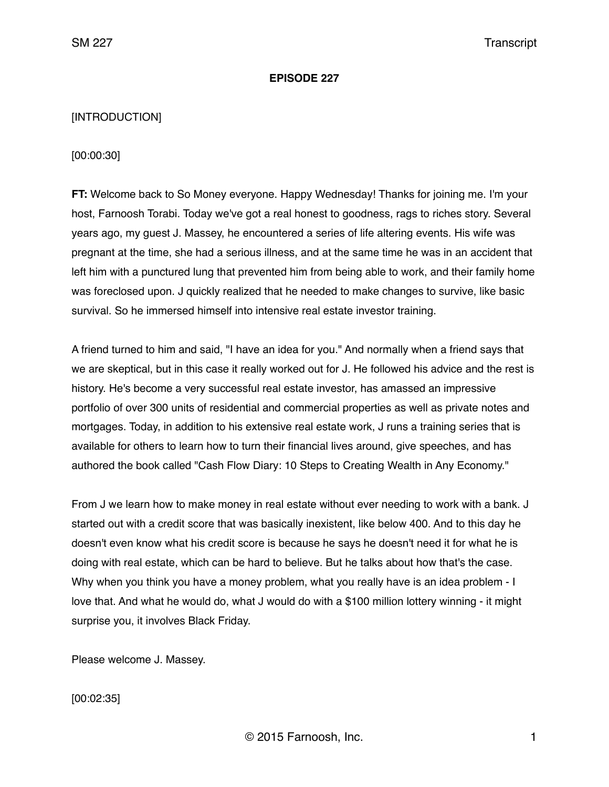#### **EPISODE 227**

# [INTRODUCTION]

# [00:00:30]

**FT:** Welcome back to So Money everyone. Happy Wednesday! Thanks for joining me. I'm your host, Farnoosh Torabi. Today we've got a real honest to goodness, rags to riches story. Several years ago, my guest J. Massey, he encountered a series of life altering events. His wife was pregnant at the time, she had a serious illness, and at the same time he was in an accident that left him with a punctured lung that prevented him from being able to work, and their family home was foreclosed upon. J quickly realized that he needed to make changes to survive, like basic survival. So he immersed himself into intensive real estate investor training.

A friend turned to him and said, "I have an idea for you." And normally when a friend says that we are skeptical, but in this case it really worked out for J. He followed his advice and the rest is history. He's become a very successful real estate investor, has amassed an impressive portfolio of over 300 units of residential and commercial properties as well as private notes and mortgages. Today, in addition to his extensive real estate work, J runs a training series that is available for others to learn how to turn their financial lives around, give speeches, and has authored the book called "Cash Flow Diary: 10 Steps to Creating Wealth in Any Economy."

From J we learn how to make money in real estate without ever needing to work with a bank. J started out with a credit score that was basically inexistent, like below 400. And to this day he doesn't even know what his credit score is because he says he doesn't need it for what he is doing with real estate, which can be hard to believe. But he talks about how that's the case. Why when you think you have a money problem, what you really have is an idea problem - I love that. And what he would do, what J would do with a \$100 million lottery winning - it might surprise you, it involves Black Friday.

Please welcome J. Massey.

[00:02:35]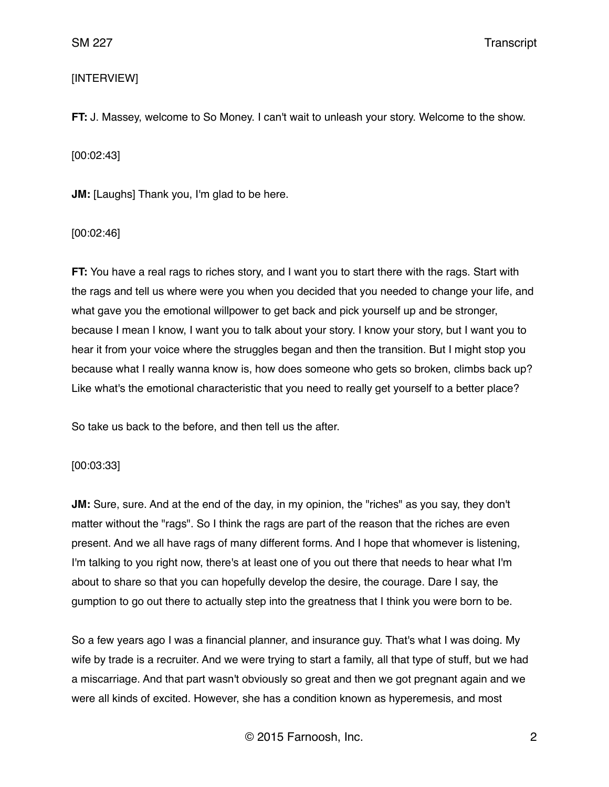# [INTERVIEW]

**FT:** J. Massey, welcome to So Money. I can't wait to unleash your story. Welcome to the show.

[00:02:43]

**JM:** [Laughs] Thank you, I'm glad to be here.

[00:02:46]

**FT:** You have a real rags to riches story, and I want you to start there with the rags. Start with the rags and tell us where were you when you decided that you needed to change your life, and what gave you the emotional willpower to get back and pick yourself up and be stronger, because I mean I know, I want you to talk about your story. I know your story, but I want you to hear it from your voice where the struggles began and then the transition. But I might stop you because what I really wanna know is, how does someone who gets so broken, climbs back up? Like what's the emotional characteristic that you need to really get yourself to a better place?

So take us back to the before, and then tell us the after.

[00:03:33]

**JM:** Sure, sure. And at the end of the day, in my opinion, the "riches" as you say, they don't matter without the "rags". So I think the rags are part of the reason that the riches are even present. And we all have rags of many different forms. And I hope that whomever is listening, I'm talking to you right now, there's at least one of you out there that needs to hear what I'm about to share so that you can hopefully develop the desire, the courage. Dare I say, the gumption to go out there to actually step into the greatness that I think you were born to be.

So a few years ago I was a financial planner, and insurance guy. That's what I was doing. My wife by trade is a recruiter. And we were trying to start a family, all that type of stuff, but we had a miscarriage. And that part wasn't obviously so great and then we got pregnant again and we were all kinds of excited. However, she has a condition known as hyperemesis, and most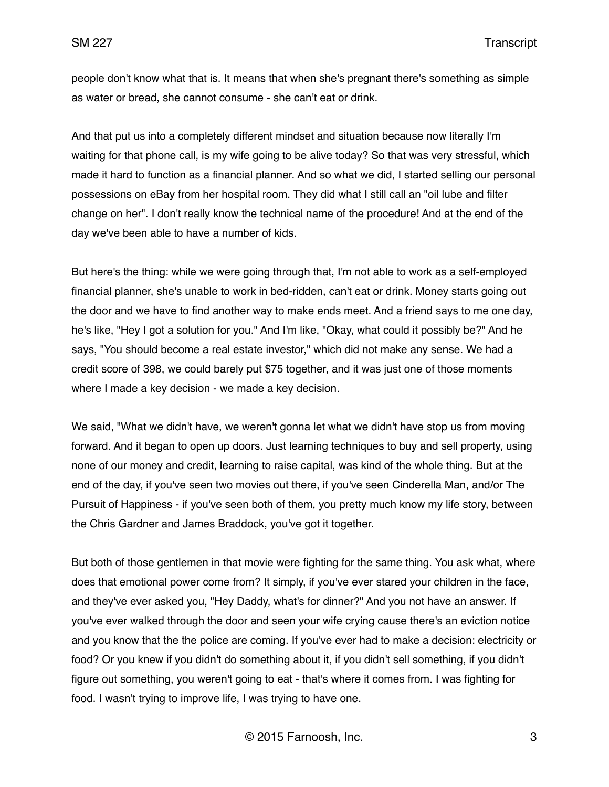people don't know what that is. It means that when she's pregnant there's something as simple as water or bread, she cannot consume - she can't eat or drink.

And that put us into a completely different mindset and situation because now literally I'm waiting for that phone call, is my wife going to be alive today? So that was very stressful, which made it hard to function as a financial planner. And so what we did, I started selling our personal possessions on eBay from her hospital room. They did what I still call an "oil lube and filter change on her". I don't really know the technical name of the procedure! And at the end of the day we've been able to have a number of kids.

But here's the thing: while we were going through that, I'm not able to work as a self-employed financial planner, she's unable to work in bed-ridden, can't eat or drink. Money starts going out the door and we have to find another way to make ends meet. And a friend says to me one day, he's like, "Hey I got a solution for you." And I'm like, "Okay, what could it possibly be?" And he says, "You should become a real estate investor," which did not make any sense. We had a credit score of 398, we could barely put \$75 together, and it was just one of those moments where I made a key decision - we made a key decision.

We said, "What we didn't have, we weren't gonna let what we didn't have stop us from moving forward. And it began to open up doors. Just learning techniques to buy and sell property, using none of our money and credit, learning to raise capital, was kind of the whole thing. But at the end of the day, if you've seen two movies out there, if you've seen Cinderella Man, and/or The Pursuit of Happiness - if you've seen both of them, you pretty much know my life story, between the Chris Gardner and James Braddock, you've got it together.

But both of those gentlemen in that movie were fighting for the same thing. You ask what, where does that emotional power come from? It simply, if you've ever stared your children in the face, and they've ever asked you, "Hey Daddy, what's for dinner?" And you not have an answer. If you've ever walked through the door and seen your wife crying cause there's an eviction notice and you know that the the police are coming. If you've ever had to make a decision: electricity or food? Or you knew if you didn't do something about it, if you didn't sell something, if you didn't figure out something, you weren't going to eat - that's where it comes from. I was fighting for food. I wasn't trying to improve life, I was trying to have one.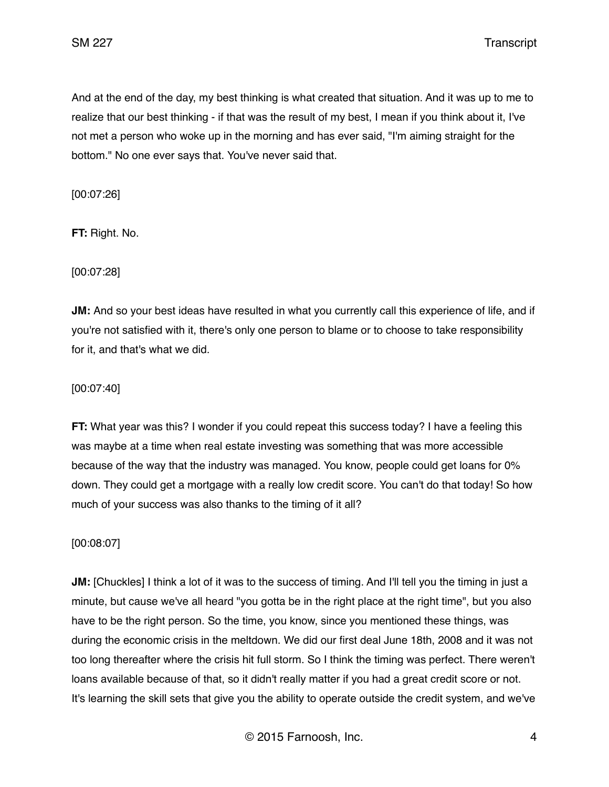And at the end of the day, my best thinking is what created that situation. And it was up to me to realize that our best thinking - if that was the result of my best, I mean if you think about it, I've not met a person who woke up in the morning and has ever said, "I'm aiming straight for the bottom." No one ever says that. You've never said that.

[00:07:26]

**FT:** Right. No.

[00:07:28]

**JM:** And so your best ideas have resulted in what you currently call this experience of life, and if you're not satisfied with it, there's only one person to blame or to choose to take responsibility for it, and that's what we did.

[00:07:40]

**FT:** What year was this? I wonder if you could repeat this success today? I have a feeling this was maybe at a time when real estate investing was something that was more accessible because of the way that the industry was managed. You know, people could get loans for 0% down. They could get a mortgage with a really low credit score. You can't do that today! So how much of your success was also thanks to the timing of it all?

[00:08:07]

**JM:** [Chuckles] I think a lot of it was to the success of timing. And I'll tell you the timing in just a minute, but cause we've all heard "you gotta be in the right place at the right time", but you also have to be the right person. So the time, you know, since you mentioned these things, was during the economic crisis in the meltdown. We did our first deal June 18th, 2008 and it was not too long thereafter where the crisis hit full storm. So I think the timing was perfect. There weren't loans available because of that, so it didn't really matter if you had a great credit score or not. It's learning the skill sets that give you the ability to operate outside the credit system, and we've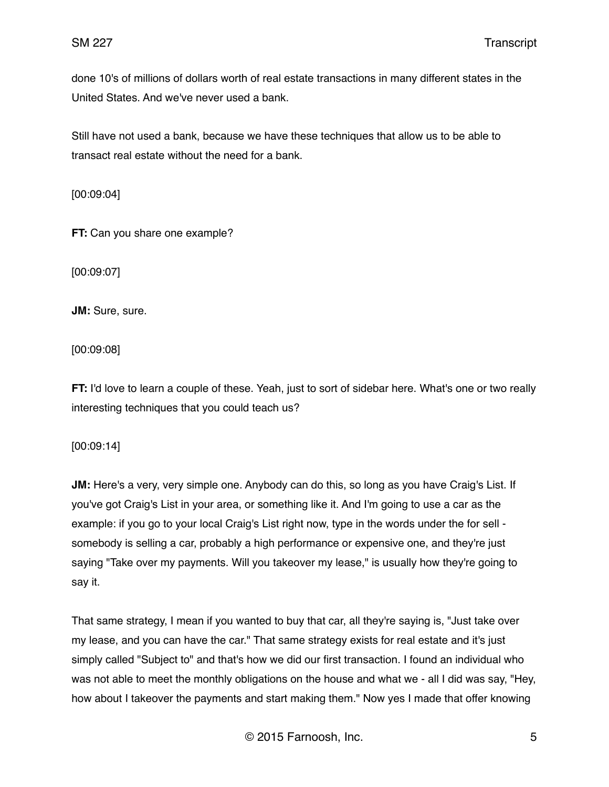done 10's of millions of dollars worth of real estate transactions in many different states in the United States. And we've never used a bank.

Still have not used a bank, because we have these techniques that allow us to be able to transact real estate without the need for a bank.

[00:09:04]

**FT:** Can you share one example?

[00:09:07]

**JM:** Sure, sure.

[00:09:08]

**FT:** I'd love to learn a couple of these. Yeah, just to sort of sidebar here. What's one or two really interesting techniques that you could teach us?

[00:09:14]

**JM:** Here's a very, very simple one. Anybody can do this, so long as you have Craig's List. If you've got Craig's List in your area, or something like it. And I'm going to use a car as the example: if you go to your local Craig's List right now, type in the words under the for sell somebody is selling a car, probably a high performance or expensive one, and they're just saying "Take over my payments. Will you takeover my lease," is usually how they're going to say it.

That same strategy, I mean if you wanted to buy that car, all they're saying is, "Just take over my lease, and you can have the car." That same strategy exists for real estate and it's just simply called "Subject to" and that's how we did our first transaction. I found an individual who was not able to meet the monthly obligations on the house and what we - all I did was say, "Hey, how about I takeover the payments and start making them." Now yes I made that offer knowing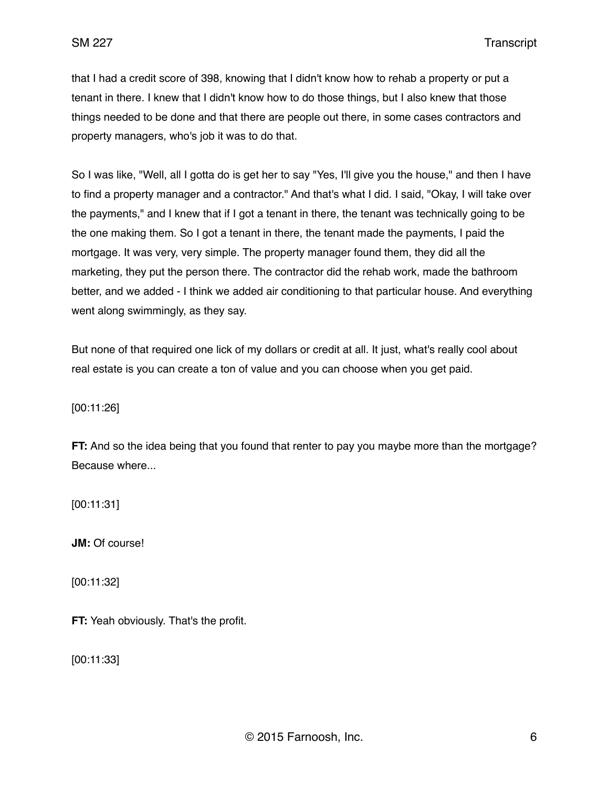that I had a credit score of 398, knowing that I didn't know how to rehab a property or put a tenant in there. I knew that I didn't know how to do those things, but I also knew that those things needed to be done and that there are people out there, in some cases contractors and property managers, who's job it was to do that.

So I was like, "Well, all I gotta do is get her to say "Yes, I'll give you the house," and then I have to find a property manager and a contractor." And that's what I did. I said, "Okay, I will take over the payments," and I knew that if I got a tenant in there, the tenant was technically going to be the one making them. So I got a tenant in there, the tenant made the payments, I paid the mortgage. It was very, very simple. The property manager found them, they did all the marketing, they put the person there. The contractor did the rehab work, made the bathroom better, and we added - I think we added air conditioning to that particular house. And everything went along swimmingly, as they say.

But none of that required one lick of my dollars or credit at all. It just, what's really cool about real estate is you can create a ton of value and you can choose when you get paid.

[00:11:26]

**FT:** And so the idea being that you found that renter to pay you maybe more than the mortgage? Because where...

[00:11:31]

**JM:** Of course!

[00:11:32]

**FT:** Yeah obviously. That's the profit.

[00:11:33]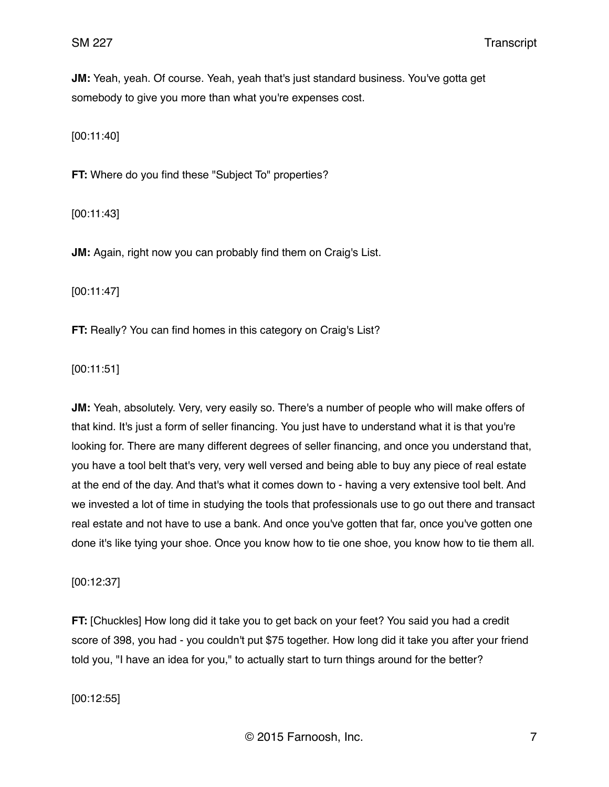**JM:** Yeah, yeah. Of course. Yeah, yeah that's just standard business. You've gotta get somebody to give you more than what you're expenses cost.

[00:11:40]

**FT:** Where do you find these "Subject To" properties?

[00:11:43]

**JM:** Again, right now you can probably find them on Craig's List.

[00:11:47]

**FT:** Really? You can find homes in this category on Craig's List?

[00:11:51]

**JM:** Yeah, absolutely. Very, very easily so. There's a number of people who will make offers of that kind. It's just a form of seller financing. You just have to understand what it is that you're looking for. There are many different degrees of seller financing, and once you understand that, you have a tool belt that's very, very well versed and being able to buy any piece of real estate at the end of the day. And that's what it comes down to - having a very extensive tool belt. And we invested a lot of time in studying the tools that professionals use to go out there and transact real estate and not have to use a bank. And once you've gotten that far, once you've gotten one done it's like tying your shoe. Once you know how to tie one shoe, you know how to tie them all.

[00:12:37]

**FT:** [Chuckles] How long did it take you to get back on your feet? You said you had a credit score of 398, you had - you couldn't put \$75 together. How long did it take you after your friend told you, "I have an idea for you," to actually start to turn things around for the better?

[00:12:55]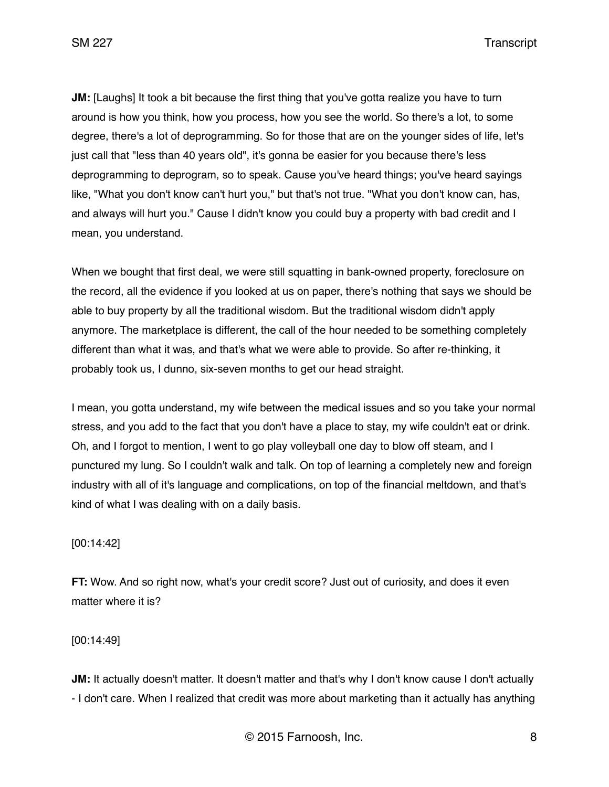**JM:** [Laughs] It took a bit because the first thing that you've gotta realize you have to turn around is how you think, how you process, how you see the world. So there's a lot, to some degree, there's a lot of deprogramming. So for those that are on the younger sides of life, let's just call that "less than 40 years old", it's gonna be easier for you because there's less deprogramming to deprogram, so to speak. Cause you've heard things; you've heard sayings like, "What you don't know can't hurt you," but that's not true. "What you don't know can, has, and always will hurt you." Cause I didn't know you could buy a property with bad credit and I mean, you understand.

When we bought that first deal, we were still squatting in bank-owned property, foreclosure on the record, all the evidence if you looked at us on paper, there's nothing that says we should be able to buy property by all the traditional wisdom. But the traditional wisdom didn't apply anymore. The marketplace is different, the call of the hour needed to be something completely different than what it was, and that's what we were able to provide. So after re-thinking, it probably took us, I dunno, six-seven months to get our head straight.

I mean, you gotta understand, my wife between the medical issues and so you take your normal stress, and you add to the fact that you don't have a place to stay, my wife couldn't eat or drink. Oh, and I forgot to mention, I went to go play volleyball one day to blow off steam, and I punctured my lung. So I couldn't walk and talk. On top of learning a completely new and foreign industry with all of it's language and complications, on top of the financial meltdown, and that's kind of what I was dealing with on a daily basis.

[00:14:42]

**FT:** Wow. And so right now, what's your credit score? Just out of curiosity, and does it even matter where it is?

[00:14:49]

**JM:** It actually doesn't matter. It doesn't matter and that's why I don't know cause I don't actually - I don't care. When I realized that credit was more about marketing than it actually has anything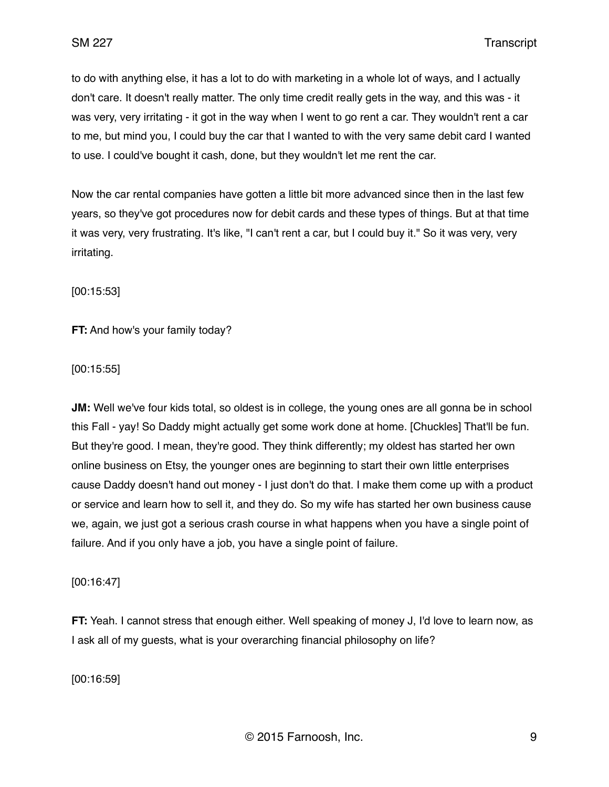to do with anything else, it has a lot to do with marketing in a whole lot of ways, and I actually don't care. It doesn't really matter. The only time credit really gets in the way, and this was - it was very, very irritating - it got in the way when I went to go rent a car. They wouldn't rent a car to me, but mind you, I could buy the car that I wanted to with the very same debit card I wanted to use. I could've bought it cash, done, but they wouldn't let me rent the car.

Now the car rental companies have gotten a little bit more advanced since then in the last few years, so they've got procedures now for debit cards and these types of things. But at that time it was very, very frustrating. It's like, "I can't rent a car, but I could buy it." So it was very, very irritating.

[00:15:53]

**FT:** And how's your family today?

[00:15:55]

**JM:** Well we've four kids total, so oldest is in college, the young ones are all gonna be in school this Fall - yay! So Daddy might actually get some work done at home. [Chuckles] That'll be fun. But they're good. I mean, they're good. They think differently; my oldest has started her own online business on Etsy, the younger ones are beginning to start their own little enterprises cause Daddy doesn't hand out money - I just don't do that. I make them come up with a product or service and learn how to sell it, and they do. So my wife has started her own business cause we, again, we just got a serious crash course in what happens when you have a single point of failure. And if you only have a job, you have a single point of failure.

[00:16:47]

**FT:** Yeah. I cannot stress that enough either. Well speaking of money J, I'd love to learn now, as I ask all of my guests, what is your overarching financial philosophy on life?

[00:16:59]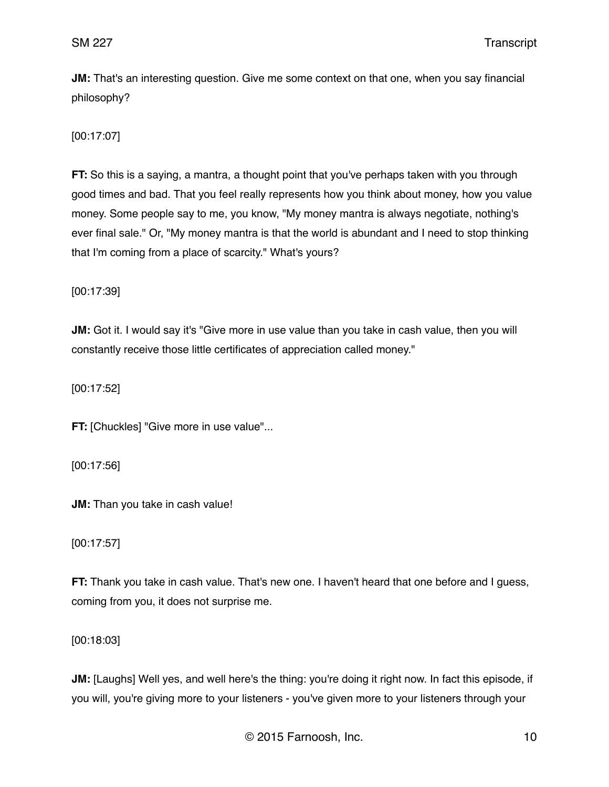**JM:** That's an interesting question. Give me some context on that one, when you say financial philosophy?

[00:17:07]

**FT:** So this is a saying, a mantra, a thought point that you've perhaps taken with you through good times and bad. That you feel really represents how you think about money, how you value money. Some people say to me, you know, "My money mantra is always negotiate, nothing's ever final sale." Or, "My money mantra is that the world is abundant and I need to stop thinking that I'm coming from a place of scarcity." What's yours?

[00:17:39]

**JM:** Got it. I would say it's "Give more in use value than you take in cash value, then you will constantly receive those little certificates of appreciation called money."

[00:17:52]

**FT:** [Chuckles] "Give more in use value"...

[00:17:56]

**JM:** Than you take in cash value!

[00:17:57]

**FT:** Thank you take in cash value. That's new one. I haven't heard that one before and I guess, coming from you, it does not surprise me.

[00:18:03]

**JM:** [Laughs] Well yes, and well here's the thing: you're doing it right now. In fact this episode, if you will, you're giving more to your listeners - you've given more to your listeners through your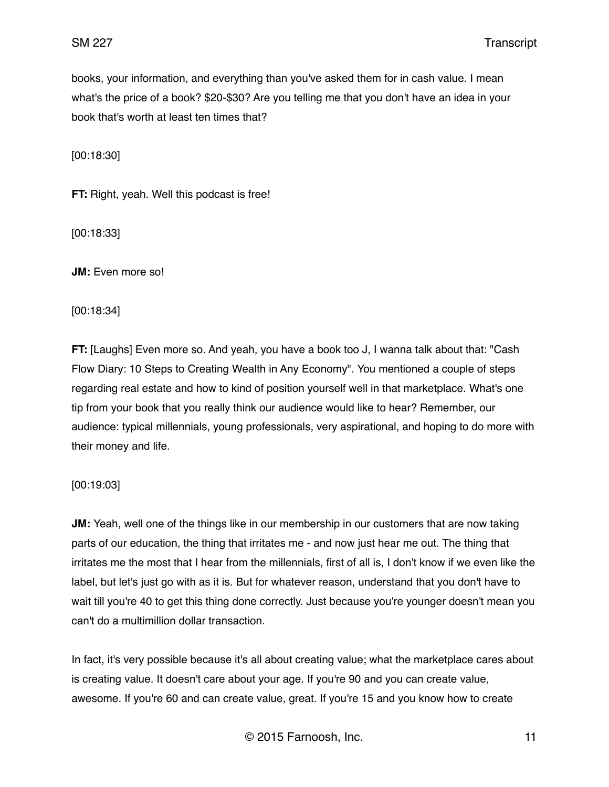books, your information, and everything than you've asked them for in cash value. I mean what's the price of a book? \$20-\$30? Are you telling me that you don't have an idea in your book that's worth at least ten times that?

[00:18:30]

**FT:** Right, yeah. Well this podcast is free!

[00:18:33]

**JM:** Even more so!

[00:18:34]

**FT:** [Laughs] Even more so. And yeah, you have a book too J, I wanna talk about that: "Cash Flow Diary: 10 Steps to Creating Wealth in Any Economy". You mentioned a couple of steps regarding real estate and how to kind of position yourself well in that marketplace. What's one tip from your book that you really think our audience would like to hear? Remember, our audience: typical millennials, young professionals, very aspirational, and hoping to do more with their money and life.

[00:19:03]

**JM:** Yeah, well one of the things like in our membership in our customers that are now taking parts of our education, the thing that irritates me - and now just hear me out. The thing that irritates me the most that I hear from the millennials, first of all is, I don't know if we even like the label, but let's just go with as it is. But for whatever reason, understand that you don't have to wait till you're 40 to get this thing done correctly. Just because you're younger doesn't mean you can't do a multimillion dollar transaction.

In fact, it's very possible because it's all about creating value; what the marketplace cares about is creating value. It doesn't care about your age. If you're 90 and you can create value, awesome. If you're 60 and can create value, great. If you're 15 and you know how to create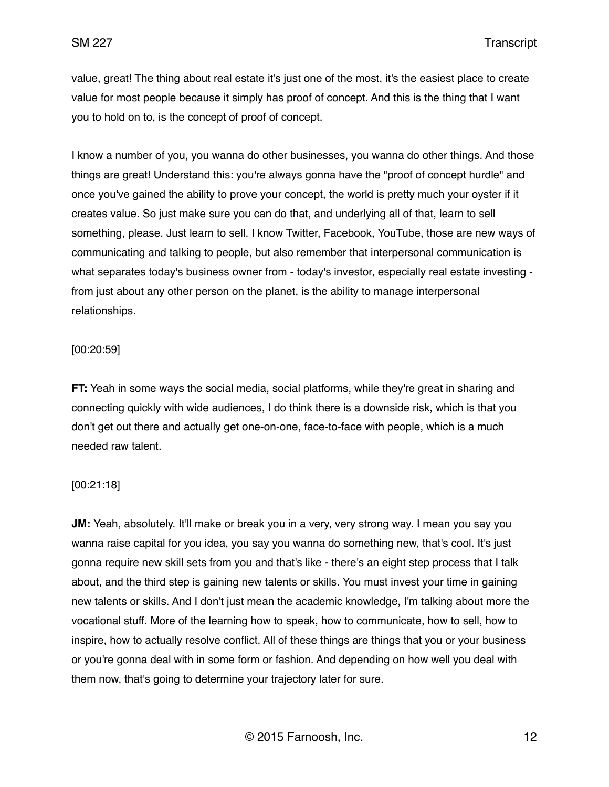value, great! The thing about real estate it's just one of the most, it's the easiest place to create value for most people because it simply has proof of concept. And this is the thing that I want you to hold on to, is the concept of proof of concept.

I know a number of you, you wanna do other businesses, you wanna do other things. And those things are great! Understand this: you're always gonna have the "proof of concept hurdle" and once you've gained the ability to prove your concept, the world is pretty much your oyster if it creates value. So just make sure you can do that, and underlying all of that, learn to sell something, please. Just learn to sell. I know Twitter, Facebook, YouTube, those are new ways of communicating and talking to people, but also remember that interpersonal communication is what separates today's business owner from - today's investor, especially real estate investing from just about any other person on the planet, is the ability to manage interpersonal relationships.

### [00:20:59]

**FT:** Yeah in some ways the social media, social platforms, while they're great in sharing and connecting quickly with wide audiences, I do think there is a downside risk, which is that you don't get out there and actually get one-on-one, face-to-face with people, which is a much needed raw talent.

#### [00:21:18]

**JM:** Yeah, absolutely. It'll make or break you in a very, very strong way. I mean you say you wanna raise capital for you idea, you say you wanna do something new, that's cool. It's just gonna require new skill sets from you and that's like - there's an eight step process that I talk about, and the third step is gaining new talents or skills. You must invest your time in gaining new talents or skills. And I don't just mean the academic knowledge, I'm talking about more the vocational stuff. More of the learning how to speak, how to communicate, how to sell, how to inspire, how to actually resolve conflict. All of these things are things that you or your business or you're gonna deal with in some form or fashion. And depending on how well you deal with them now, that's going to determine your trajectory later for sure.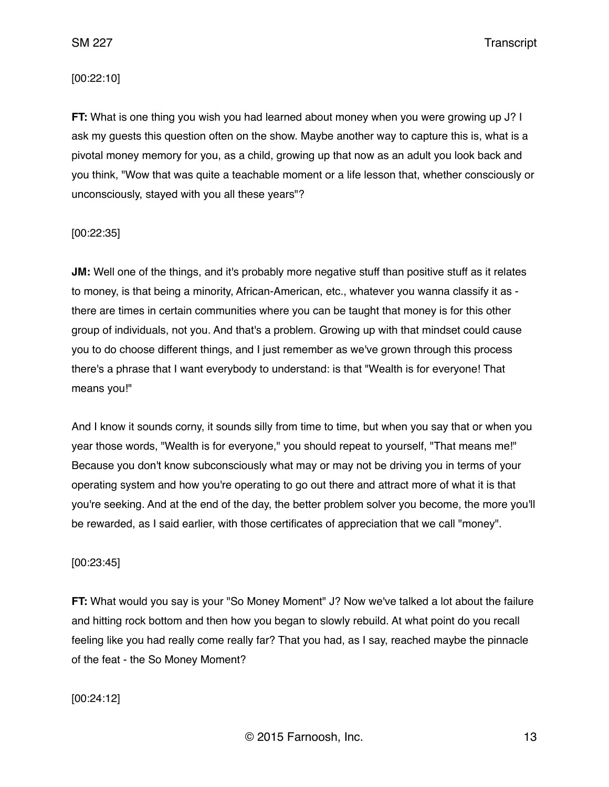#### [00:22:10]

**FT:** What is one thing you wish you had learned about money when you were growing up J? I ask my guests this question often on the show. Maybe another way to capture this is, what is a pivotal money memory for you, as a child, growing up that now as an adult you look back and you think, "Wow that was quite a teachable moment or a life lesson that, whether consciously or unconsciously, stayed with you all these years"?

### [00:22:35]

**JM:** Well one of the things, and it's probably more negative stuff than positive stuff as it relates to money, is that being a minority, African-American, etc., whatever you wanna classify it as there are times in certain communities where you can be taught that money is for this other group of individuals, not you. And that's a problem. Growing up with that mindset could cause you to do choose different things, and I just remember as we've grown through this process there's a phrase that I want everybody to understand: is that "Wealth is for everyone! That means you!"

And I know it sounds corny, it sounds silly from time to time, but when you say that or when you year those words, "Wealth is for everyone," you should repeat to yourself, "That means me!" Because you don't know subconsciously what may or may not be driving you in terms of your operating system and how you're operating to go out there and attract more of what it is that you're seeking. And at the end of the day, the better problem solver you become, the more you'll be rewarded, as I said earlier, with those certificates of appreciation that we call "money".

#### [00:23:45]

**FT:** What would you say is your "So Money Moment" J? Now we've talked a lot about the failure and hitting rock bottom and then how you began to slowly rebuild. At what point do you recall feeling like you had really come really far? That you had, as I say, reached maybe the pinnacle of the feat - the So Money Moment?

[00:24:12]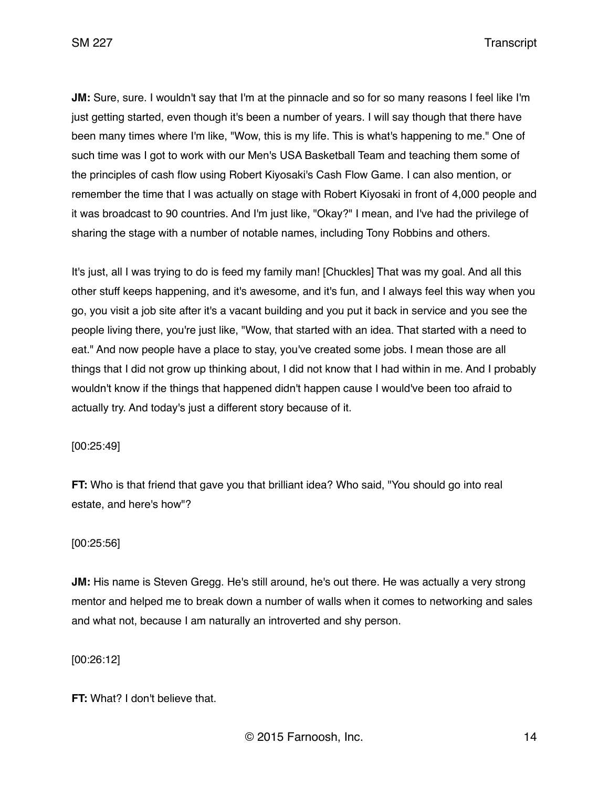**JM:** Sure, sure. I wouldn't say that I'm at the pinnacle and so for so many reasons I feel like I'm just getting started, even though it's been a number of years. I will say though that there have been many times where I'm like, "Wow, this is my life. This is what's happening to me." One of such time was I got to work with our Men's USA Basketball Team and teaching them some of the principles of cash flow using Robert Kiyosaki's Cash Flow Game. I can also mention, or remember the time that I was actually on stage with Robert Kiyosaki in front of 4,000 people and it was broadcast to 90 countries. And I'm just like, "Okay?" I mean, and I've had the privilege of sharing the stage with a number of notable names, including Tony Robbins and others.

It's just, all I was trying to do is feed my family man! [Chuckles] That was my goal. And all this other stuff keeps happening, and it's awesome, and it's fun, and I always feel this way when you go, you visit a job site after it's a vacant building and you put it back in service and you see the people living there, you're just like, "Wow, that started with an idea. That started with a need to eat." And now people have a place to stay, you've created some jobs. I mean those are all things that I did not grow up thinking about, I did not know that I had within in me. And I probably wouldn't know if the things that happened didn't happen cause I would've been too afraid to actually try. And today's just a different story because of it.

[00:25:49]

**FT:** Who is that friend that gave you that brilliant idea? Who said, "You should go into real estate, and here's how"?

### [00:25:56]

**JM:** His name is Steven Gregg. He's still around, he's out there. He was actually a very strong mentor and helped me to break down a number of walls when it comes to networking and sales and what not, because I am naturally an introverted and shy person.

[00:26:12]

**FT:** What? I don't believe that.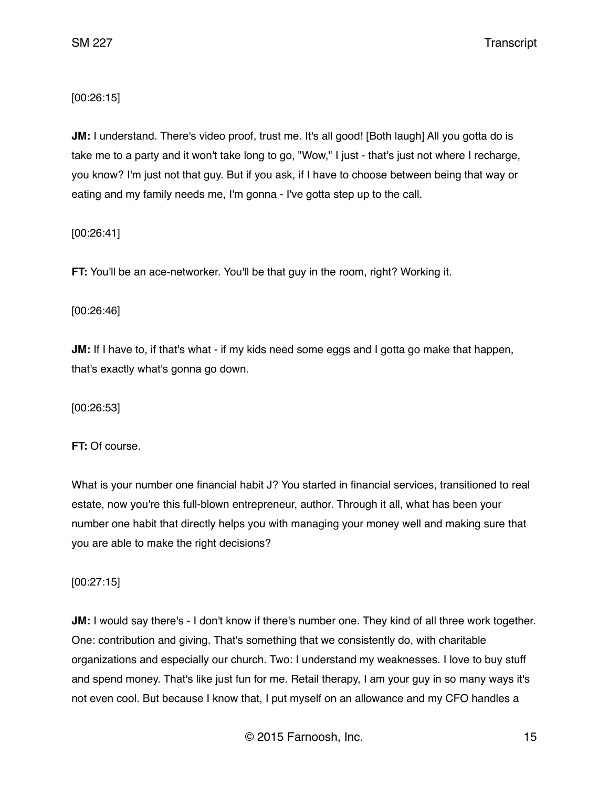[00:26:15]

**JM:** I understand. There's video proof, trust me. It's all good! [Both laugh] All you gotta do is take me to a party and it won't take long to go, "Wow," I just - that's just not where I recharge, you know? I'm just not that guy. But if you ask, if I have to choose between being that way or eating and my family needs me, I'm gonna - I've gotta step up to the call.

[00:26:41]

**FT:** You'll be an ace-networker. You'll be that guy in the room, right? Working it.

[00:26:46]

**JM:** If I have to, if that's what - if my kids need some eggs and I gotta go make that happen, that's exactly what's gonna go down.

[00:26:53]

**FT:** Of course.

What is your number one financial habit J? You started in financial services, transitioned to real estate, now you're this full-blown entrepreneur, author. Through it all, what has been your number one habit that directly helps you with managing your money well and making sure that you are able to make the right decisions?

[00:27:15]

**JM:** I would say there's - I don't know if there's number one. They kind of all three work together. One: contribution and giving. That's something that we consistently do, with charitable organizations and especially our church. Two: I understand my weaknesses. I love to buy stuff and spend money. That's like just fun for me. Retail therapy, I am your guy in so many ways it's not even cool. But because I know that, I put myself on an allowance and my CFO handles a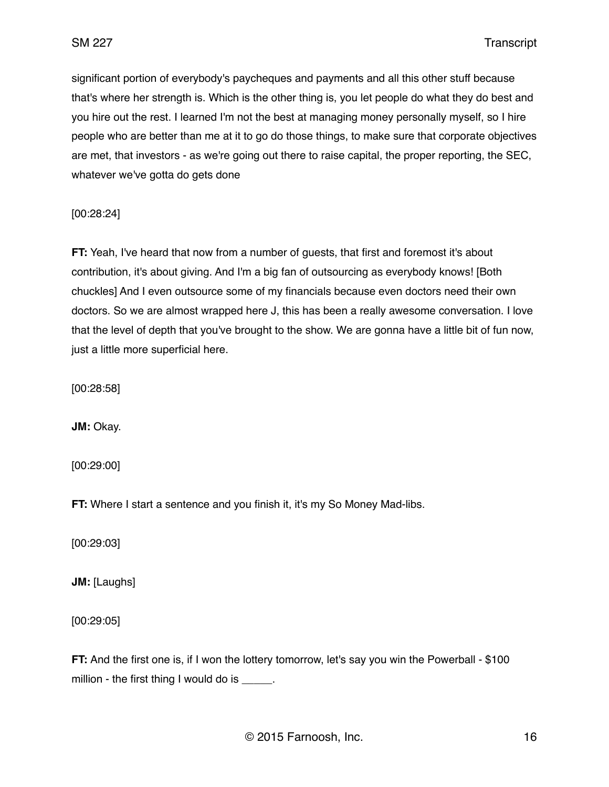significant portion of everybody's paycheques and payments and all this other stuff because that's where her strength is. Which is the other thing is, you let people do what they do best and you hire out the rest. I learned I'm not the best at managing money personally myself, so I hire people who are better than me at it to go do those things, to make sure that corporate objectives are met, that investors - as we're going out there to raise capital, the proper reporting, the SEC, whatever we've gotta do gets done

[00:28:24]

**FT:** Yeah, I've heard that now from a number of guests, that first and foremost it's about contribution, it's about giving. And I'm a big fan of outsourcing as everybody knows! [Both chuckles] And I even outsource some of my financials because even doctors need their own doctors. So we are almost wrapped here J, this has been a really awesome conversation. I love that the level of depth that you've brought to the show. We are gonna have a little bit of fun now, just a little more superficial here.

[00:28:58]

**JM:** Okay.

[00:29:00]

**FT:** Where I start a sentence and you finish it, it's my So Money Mad-libs.

[00:29:03]

**JM:** [Laughs]

[00:29:05]

**FT:** And the first one is, if I won the lottery tomorrow, let's say you win the Powerball - \$100 million - the first thing I would do is \_\_\_\_\_.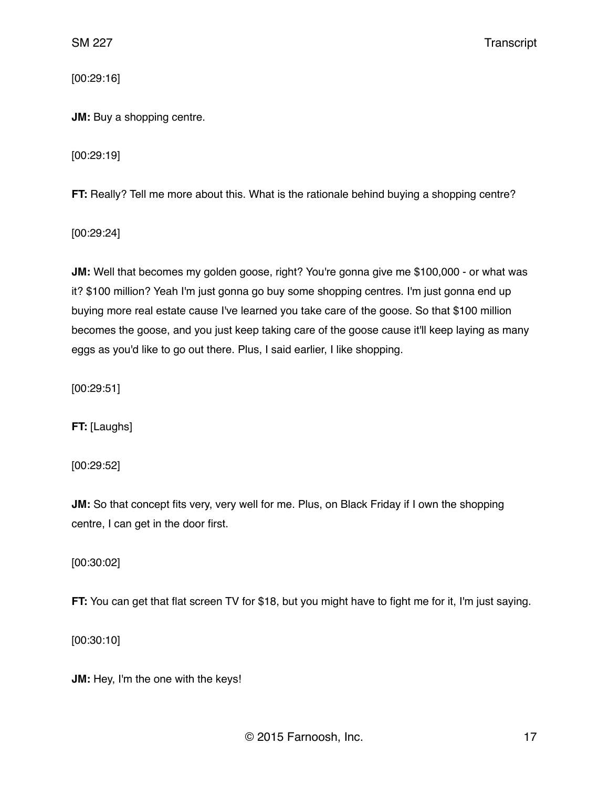[00:29:16]

**JM:** Buy a shopping centre.

[00:29:19]

**FT:** Really? Tell me more about this. What is the rationale behind buying a shopping centre?

[00:29:24]

**JM:** Well that becomes my golden goose, right? You're gonna give me \$100,000 - or what was it? \$100 million? Yeah I'm just gonna go buy some shopping centres. I'm just gonna end up buying more real estate cause I've learned you take care of the goose. So that \$100 million becomes the goose, and you just keep taking care of the goose cause it'll keep laying as many eggs as you'd like to go out there. Plus, I said earlier, I like shopping.

[00:29:51]

**FT:** [Laughs]

[00:29:52]

**JM:** So that concept fits very, very well for me. Plus, on Black Friday if I own the shopping centre, I can get in the door first.

[00:30:02]

**FT:** You can get that flat screen TV for \$18, but you might have to fight me for it, I'm just saying.

[00:30:10]

**JM:** Hey, I'm the one with the keys!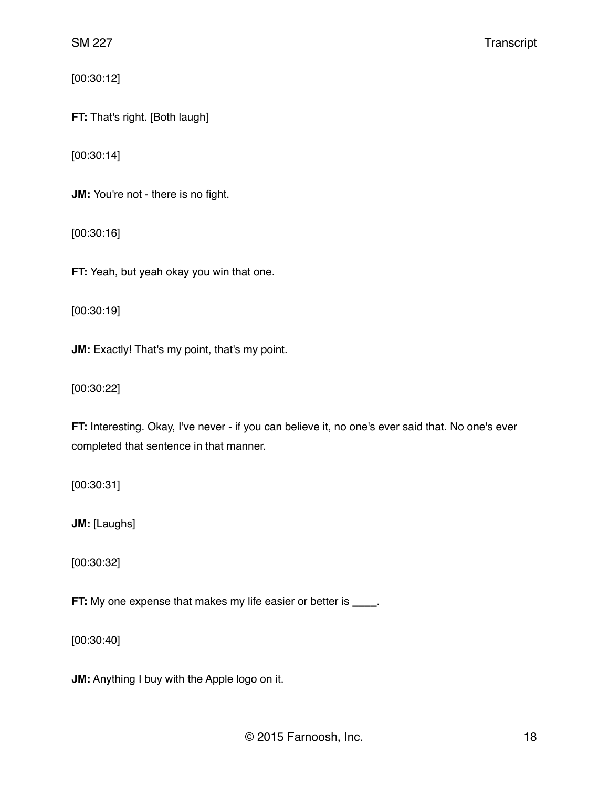[00:30:12]

**FT:** That's right. [Both laugh]

[00:30:14]

**JM:** You're not - there is no fight.

[00:30:16]

**FT:** Yeah, but yeah okay you win that one.

[00:30:19]

**JM:** Exactly! That's my point, that's my point.

[00:30:22]

**FT:** Interesting. Okay, I've never - if you can believe it, no one's ever said that. No one's ever completed that sentence in that manner.

[00:30:31]

**JM:** [Laughs]

[00:30:32]

**FT:** My one expense that makes my life easier or better is \_\_\_\_.

[00:30:40]

**JM:** Anything I buy with the Apple logo on it.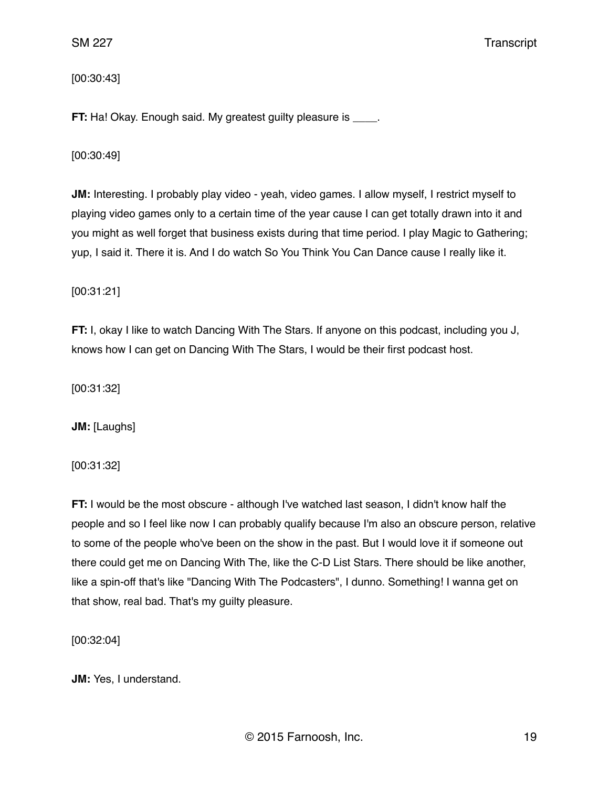[00:30:43]

**FT:** Ha! Okay. Enough said. My greatest guilty pleasure is \_\_\_\_.

[00:30:49]

**JM:** Interesting. I probably play video - yeah, video games. I allow myself, I restrict myself to playing video games only to a certain time of the year cause I can get totally drawn into it and you might as well forget that business exists during that time period. I play Magic to Gathering; yup, I said it. There it is. And I do watch So You Think You Can Dance cause I really like it.

[00:31:21]

**FT:** I, okay I like to watch Dancing With The Stars. If anyone on this podcast, including you J, knows how I can get on Dancing With The Stars, I would be their first podcast host.

[00:31:32]

**JM:** [Laughs]

[00:31:32]

**FT:** I would be the most obscure - although I've watched last season, I didn't know half the people and so I feel like now I can probably qualify because I'm also an obscure person, relative to some of the people who've been on the show in the past. But I would love it if someone out there could get me on Dancing With The, like the C-D List Stars. There should be like another, like a spin-off that's like "Dancing With The Podcasters", I dunno. Something! I wanna get on that show, real bad. That's my guilty pleasure.

[00:32:04]

**JM:** Yes, I understand.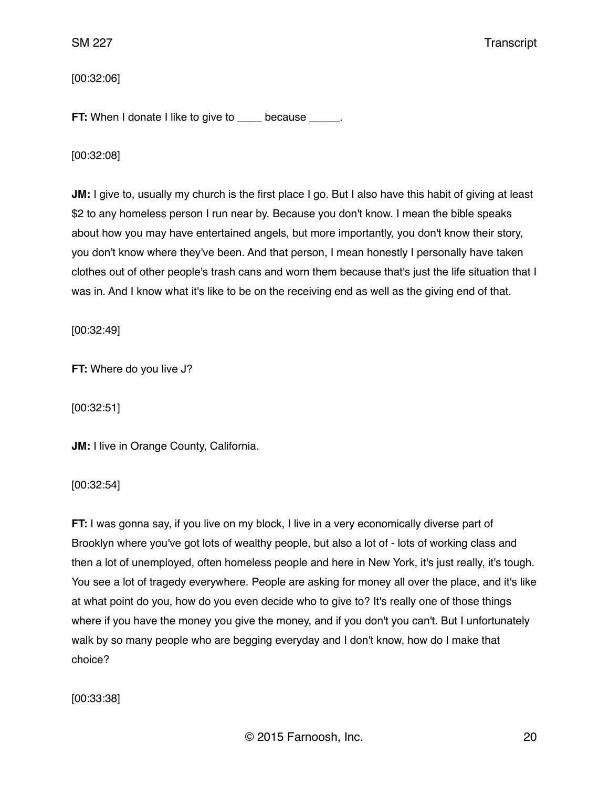[00:32:06]

**FT:** When I donate I like to give to \_\_\_\_ because \_\_\_\_\_.

[00:32:08]

**JM:** I give to, usually my church is the first place I go. But I also have this habit of giving at least \$2 to any homeless person I run near by. Because you don't know. I mean the bible speaks about how you may have entertained angels, but more importantly, you don't know their story, you don't know where they've been. And that person, I mean honestly I personally have taken clothes out of other people's trash cans and worn them because that's just the life situation that I was in. And I know what it's like to be on the receiving end as well as the giving end of that.

[00:32:49]

**FT:** Where do you live J?

[00:32:51]

**JM:** I live in Orange County, California.

[00:32:54]

**FT:** I was gonna say, if you live on my block, I live in a very economically diverse part of Brooklyn where you've got lots of wealthy people, but also a lot of - lots of working class and then a lot of unemployed, often homeless people and here in New York, it's just really, it's tough. You see a lot of tragedy everywhere. People are asking for money all over the place, and it's like at what point do you, how do you even decide who to give to? It's really one of those things where if you have the money you give the money, and if you don't you can't. But I unfortunately walk by so many people who are begging everyday and I don't know, how do I make that choice?

[00:33:38]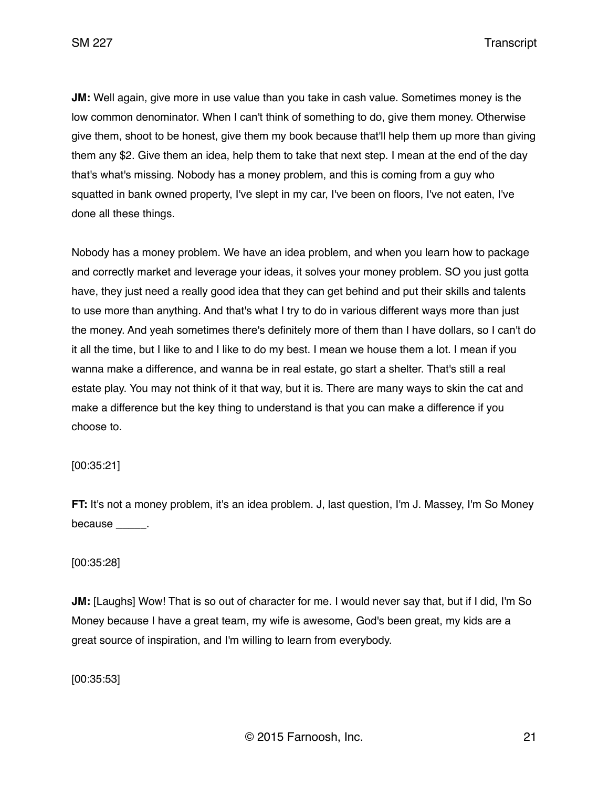**JM:** Well again, give more in use value than you take in cash value. Sometimes money is the low common denominator. When I can't think of something to do, give them money. Otherwise give them, shoot to be honest, give them my book because that'll help them up more than giving them any \$2. Give them an idea, help them to take that next step. I mean at the end of the day that's what's missing. Nobody has a money problem, and this is coming from a guy who squatted in bank owned property, I've slept in my car, I've been on floors, I've not eaten, I've done all these things.

Nobody has a money problem. We have an idea problem, and when you learn how to package and correctly market and leverage your ideas, it solves your money problem. SO you just gotta have, they just need a really good idea that they can get behind and put their skills and talents to use more than anything. And that's what I try to do in various different ways more than just the money. And yeah sometimes there's definitely more of them than I have dollars, so I can't do it all the time, but I like to and I like to do my best. I mean we house them a lot. I mean if you wanna make a difference, and wanna be in real estate, go start a shelter. That's still a real estate play. You may not think of it that way, but it is. There are many ways to skin the cat and make a difference but the key thing to understand is that you can make a difference if you choose to.

[00:35:21]

**FT:** It's not a money problem, it's an idea problem. J, last question, I'm J. Massey, I'm So Money because \_\_\_\_\_\_.

#### [00:35:28]

**JM:** [Laughs] Wow! That is so out of character for me. I would never say that, but if I did, I'm So Money because I have a great team, my wife is awesome, God's been great, my kids are a great source of inspiration, and I'm willing to learn from everybody.

[00:35:53]